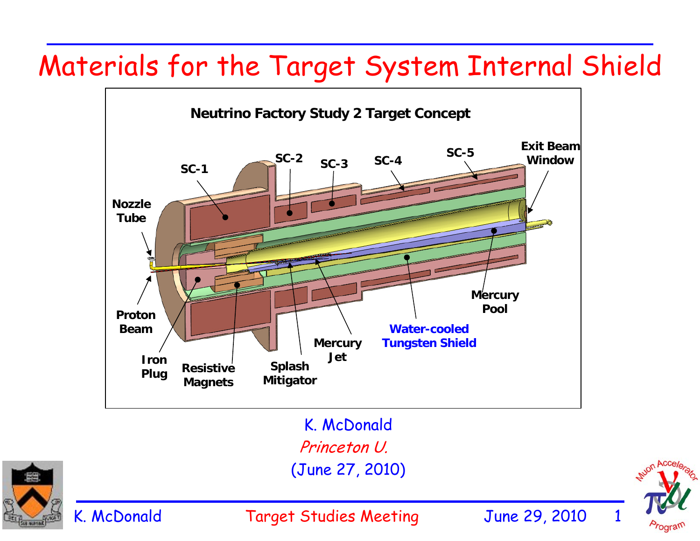# Materials for the Target System Internal Shield





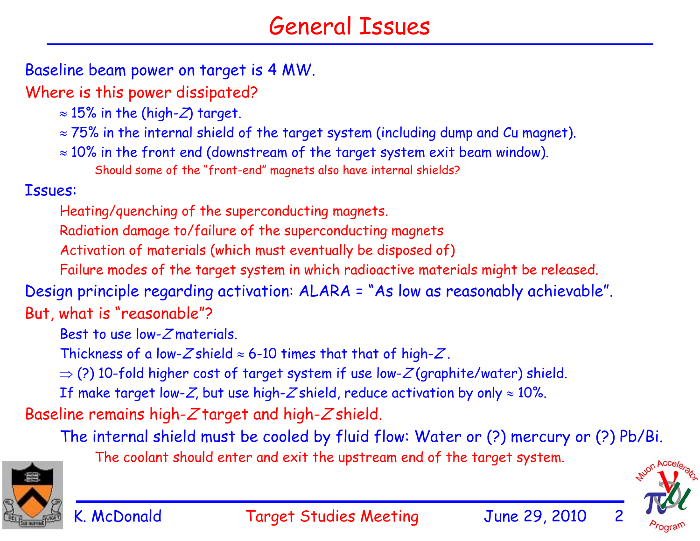#### General Issues

Baseline beam power on target is 4 MW.

Where is this power dissipated?

- $\approx 15\%$  in the (high-Z) target.
- $\approx$  75% in the internal shield of the target system (including dump and Cu magnet).
- $\approx 10\%$  in the front end (downstream of the target system exit beam window). Should some of the "front-end" magnets also have internal shields?

Issues:

Heating/quenching of the superconducting magnets.

Radiation damage to/failure of the superconducting magnets

Activation of materials (which must eventually be disposed of)

Failure modes of the target system in which radioactive materials might be released.

Design principle regarding activation: ALARA = "As low as reasonably achievable". But, what is "reasonable"?

Best to use low- $Z$ materials.

Thickness of a low-Z shield  $\approx$  6-10 times that that of high-Z.

 $\Rightarrow$  (?) 10-fold higher cost of target system if use low-Z(graphite/water) shield.

If make target low-Z, but use high-Z shield, reduce activation by only  $\approx 10\%$ .

Baseline remains high- $Z$  target and high- $Z$  shield.

The internal shield must be cooled by fluid flow: Water or (?) mercury or (?) Pb/Bi.

The coolant should enter and exit the upstream end of the target system.



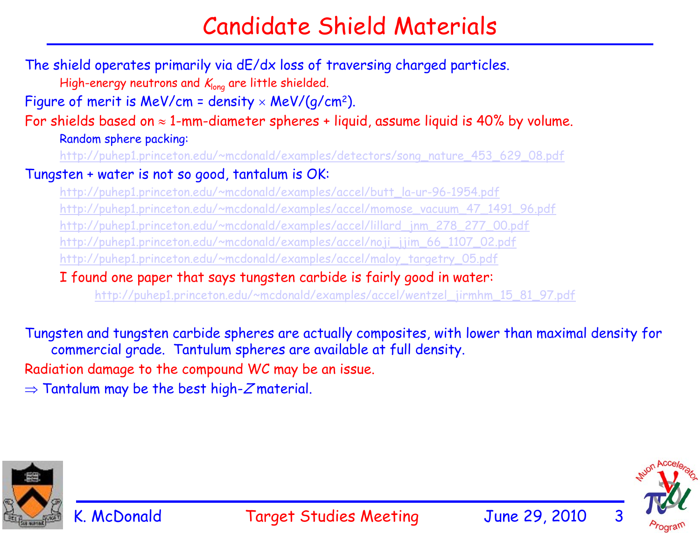### Candidate Shield Materials

The shield operates primarily via dE/dx loss of traversing charged particles. High-energy neutrons and  $K_{long}$  are little shielded. Figure of merit is MeV/cm = density  $\times$  MeV/(g/cm<sup>2</sup>). For shields based on  $\approx$  1-mm-diameter spheres + liquid, assume liquid is 40% by volume. Random sphere packing: http://puhep1.princeton.edu/~mcdonald/examples/detectors/song\_nature\_453\_629\_08.pdf Tungsten + water is not so good, tantalum is OK: http://puhep1.princeton.edu/~mcdonald/examples/accel/butt\_la-ur-96-1954.pdf http://puhep1.princeton.edu/~mcdonald/examples/accel/momose\_vacuum\_47\_1491\_96.pdf http://puhep1.princeton.edu/~mcdonald/examples/accel/lillard\_jnm\_278\_277\_00.pdf http://puhep1.princeton.edu/~mcdonald/examples/accel/noji\_jjim\_66\_1107\_02.pdf http://puhep1.princeton.edu/~mcdonald/examples/accel/maloy\_targetry\_05.pdf I found one paper that says tungsten carbide is fairly good in water: http://puhep1.princeton.edu/~mcdonald/examples/accel/wentzel\_jirmhm\_15\_81\_97.pdf

Tungsten and tungsten carbide spheres are actually composites, with lower than maximal density for commercial grade. Tantulum spheres are available at full density.

Radiation damage to the compound WC may be an issue.

 $\Rightarrow$  Tantalum may be the best high- $Z$ material.



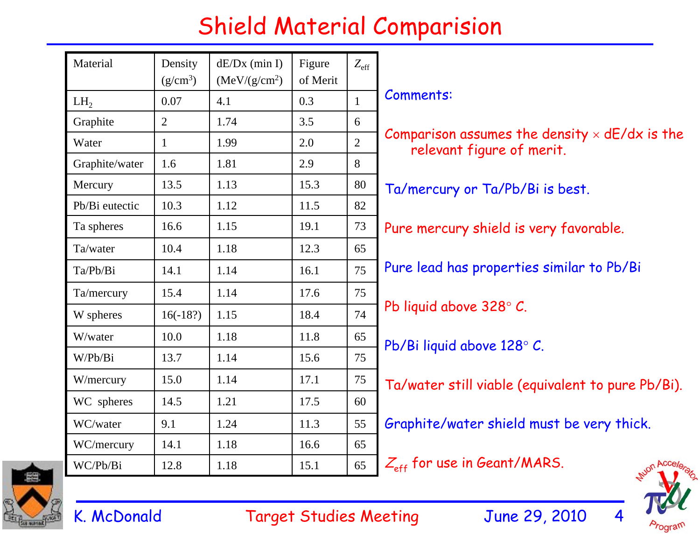## Shield Material Comparision

| Material        | Density<br>$(g/cm^3)$ | $dE/Dx$ (min I)<br>(MeV/(g/cm <sup>2</sup> ) | Figure<br>of Merit | $Z_{\rm eff}$  |                                                                                   |
|-----------------|-----------------------|----------------------------------------------|--------------------|----------------|-----------------------------------------------------------------------------------|
| LH <sub>2</sub> | 0.07                  | 4.1                                          | 0.3                | $\mathbf{1}$   | Comments:                                                                         |
| Graphite        | $\overline{2}$        | 1.74                                         | 3.5                | 6              | Comparison assumes the density $\times$ dE/dx is the<br>relevant figure of merit. |
| Water           | $\mathbf{1}$          | 1.99                                         | 2.0                | $\overline{2}$ |                                                                                   |
| Graphite/water  | 1.6                   | 1.81                                         | 2.9                | 8              |                                                                                   |
| Mercury         | 13.5                  | 1.13                                         | 15.3               | 80             | Ta/mercury or Ta/Pb/Bi is best.                                                   |
| Pb/Bi eutectic  | 10.3                  | 1.12                                         | 11.5               | 82             |                                                                                   |
| Ta spheres      | 16.6                  | 1.15                                         | 19.1               | 73             | Pure mercury shield is very favorable.                                            |
| Ta/water        | 10.4                  | 1.18                                         | 12.3               | 65             |                                                                                   |
| Ta/Pb/Bi        | 14.1                  | 1.14                                         | 16.1               | 75             | Pure lead has properties similar to Pb/Bi                                         |
| Ta/mercury      | 15.4                  | 1.14                                         | 17.6               | 75             |                                                                                   |
| W spheres       | $16(-18?)$            | 1.15                                         | 18.4               | 74             | Pb liquid above 328° C.                                                           |
| W/water         | 10.0                  | 1.18                                         | 11.8               | 65             | Pb/Bi liquid above 128° C.                                                        |
| W/Pb/Bi         | 13.7                  | 1.14                                         | 15.6               | 75             |                                                                                   |
| W/mercury       | 15.0                  | 1.14                                         | 17.1               | 75             | Ta/water still viable (equivalent to pure Pb/Bi).                                 |
| WC spheres      | 14.5                  | 1.21                                         | 17.5               | 60             |                                                                                   |
| WC/water        | 9.1                   | 1.24                                         | 11.3               | 55             | Graphite/water shield must be very thick.                                         |
| WC/mercury      | 14.1                  | 1.18                                         | 16.6               | 65             |                                                                                   |
| WC/Pb/Bi        | 12.8                  | 1.18                                         | 15.1               | 65             | $Z_{\text{eff}}$ for use in Geant/MARS.                                           |



K. McDonald Target Studies Meeting June 29, 2010 4